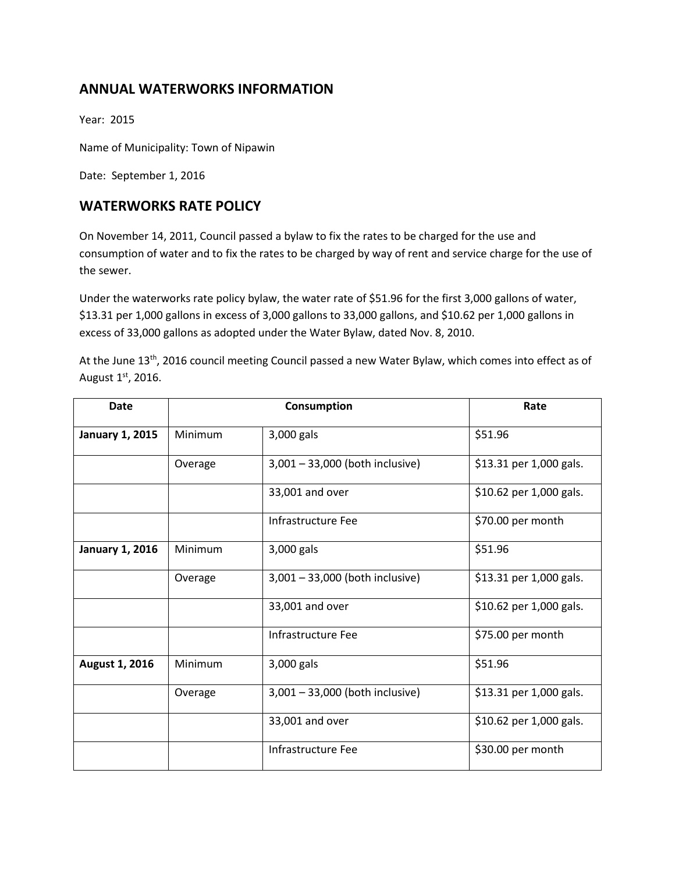# **ANNUAL WATERWORKS INFORMATION**

Year: 2015

Name of Municipality: Town of Nipawin

Date: September 1, 2016

## **WATERWORKS RATE POLICY**

On November 14, 2011, Council passed a bylaw to fix the rates to be charged for the use and consumption of water and to fix the rates to be charged by way of rent and service charge for the use of the sewer.

Under the waterworks rate policy bylaw, the water rate of \$51.96 for the first 3,000 gallons of water, \$13.31 per 1,000 gallons in excess of 3,000 gallons to 33,000 gallons, and \$10.62 per 1,000 gallons in excess of 33,000 gallons as adopted under the Water Bylaw, dated Nov. 8, 2010.

At the June 13<sup>th</sup>, 2016 council meeting Council passed a new Water Bylaw, which comes into effect as of August 1st, 2016.

| <b>Date</b>            | Consumption |                                 | Rate                    |
|------------------------|-------------|---------------------------------|-------------------------|
| <b>January 1, 2015</b> | Minimum     | 3,000 gals                      | \$51.96                 |
|                        | Overage     | 3,001 - 33,000 (both inclusive) | \$13.31 per 1,000 gals. |
|                        |             | 33,001 and over                 | \$10.62 per 1,000 gals. |
|                        |             | Infrastructure Fee              | \$70.00 per month       |
| <b>January 1, 2016</b> | Minimum     | 3,000 gals                      | \$51.96                 |
|                        | Overage     | 3,001 - 33,000 (both inclusive) | \$13.31 per 1,000 gals. |
|                        |             | 33,001 and over                 | \$10.62 per 1,000 gals. |
|                        |             | Infrastructure Fee              | \$75.00 per month       |
| August 1, 2016         | Minimum     | 3,000 gals                      | \$51.96                 |
|                        | Overage     | 3,001 - 33,000 (both inclusive) | \$13.31 per 1,000 gals. |
|                        |             | 33,001 and over                 | \$10.62 per 1,000 gals. |
|                        |             | Infrastructure Fee              | \$30.00 per month       |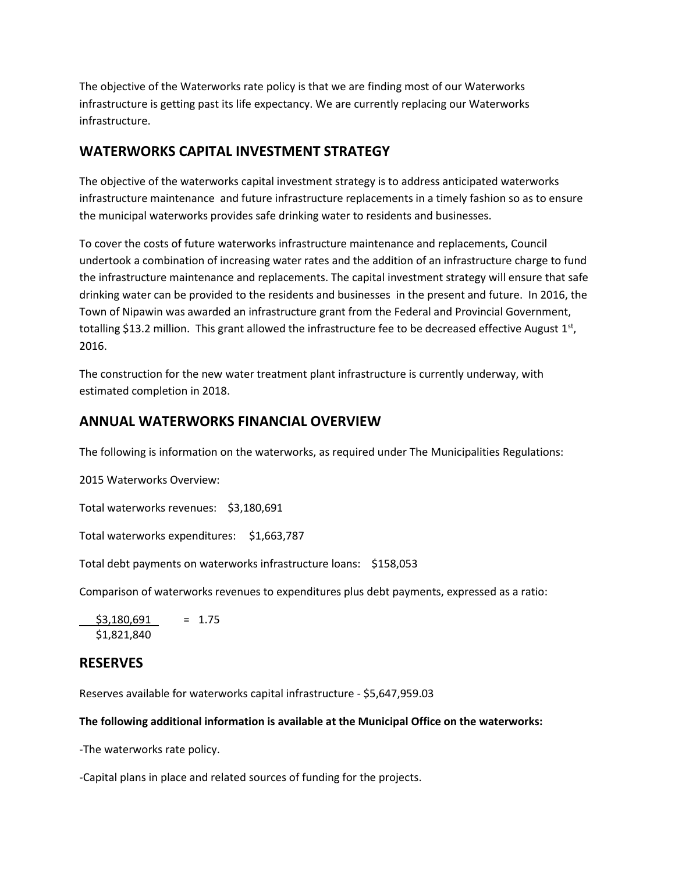The objective of the Waterworks rate policy is that we are finding most of our Waterworks infrastructure is getting past its life expectancy. We are currently replacing our Waterworks infrastructure.

# **WATERWORKS CAPITAL INVESTMENT STRATEGY**

The objective of the waterworks capital investment strategy is to address anticipated waterworks infrastructure maintenance and future infrastructure replacements in a timely fashion so as to ensure the municipal waterworks provides safe drinking water to residents and businesses.

To cover the costs of future waterworks infrastructure maintenance and replacements, Council undertook a combination of increasing water rates and the addition of an infrastructure charge to fund the infrastructure maintenance and replacements. The capital investment strategy will ensure that safe drinking water can be provided to the residents and businesses in the present and future. In 2016, the Town of Nipawin was awarded an infrastructure grant from the Federal and Provincial Government, totalling \$13.2 million. This grant allowed the infrastructure fee to be decreased effective August  $1<sup>st</sup>$ , 2016.

The construction for the new water treatment plant infrastructure is currently underway, with estimated completion in 2018.

## **ANNUAL WATERWORKS FINANCIAL OVERVIEW**

The following is information on the waterworks, as required under The Municipalities Regulations:

2015 Waterworks Overview:

Total waterworks revenues: \$3,180,691

Total waterworks expenditures: \$1,663,787

Total debt payments on waterworks infrastructure loans: \$158,053

Comparison of waterworks revenues to expenditures plus debt payments, expressed as a ratio:

 $$3,180,691 = 1.75$ \$1,821,840

### **RESERVES**

Reserves available for waterworks capital infrastructure - \$5,647,959.03

**The following additional information is available at the Municipal Office on the waterworks:**

-The waterworks rate policy.

-Capital plans in place and related sources of funding for the projects.